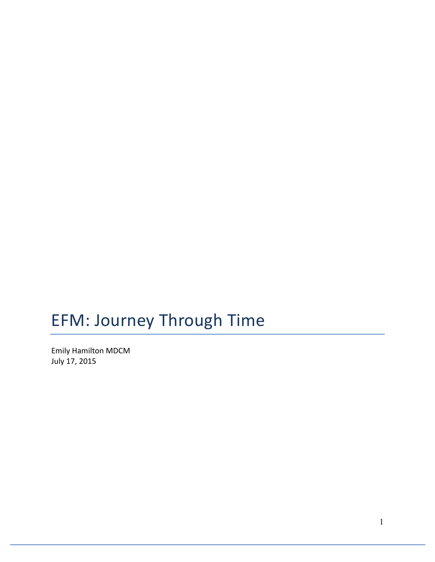# EFM: Journey Through Time

Emily Hamilton MDCM July 17, 2015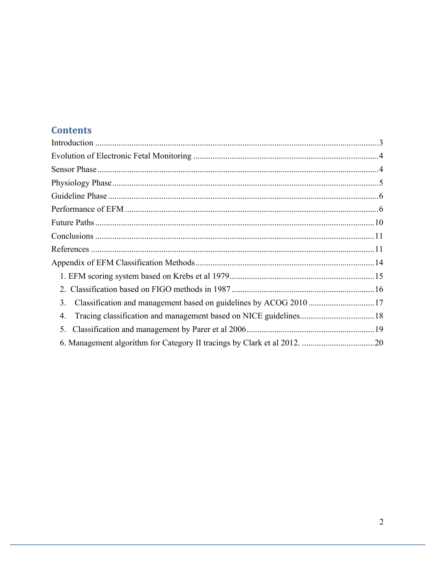# **Contents**

| 3. |  |
|----|--|
| 4. |  |
| 5. |  |
|    |  |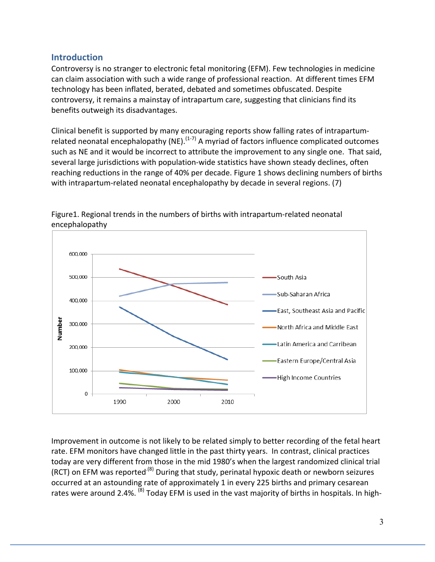#### **Introduction**

Controversy is no stranger to electronic fetal monitoring (EFM). Few technologies in medicine can claim association with such a wide range of professional reaction. At different times EFM technology has been inflated, berated, debated and sometimes obfuscated. Despite controversy, it remains a mainstay of intrapartum care, suggesting that clinicians find its benefits outweigh its disadvantages.

Clinical benefit is supported by many encouraging reports show falling rates of intrapartumrelated neonatal encephalopathy (NE).<sup>(1-7)</sup> A myriad of factors influence complicated outcomes such as NE and it would be incorrect to attribute the improvement to any single one. That said, several large jurisdictions with population-wide statistics have shown steady declines, often reaching reductions in the range of 40% per decade. Figure 1 shows declining numbers of births with intrapartum-related neonatal encephalopathy by decade in several regions. (7)



Figure1. Regional trends in the numbers of births with intrapartum-related neonatal encephalopathy 

Improvement in outcome is not likely to be related simply to better recording of the fetal heart rate. EFM monitors have changed little in the past thirty years. In contrast, clinical practices today are very different from those in the mid 1980's when the largest randomized clinical trial (RCT) on EFM was reported<sup>.(8)</sup> During that study, perinatal hypoxic death or newborn seizures occurred at an astounding rate of approximately 1 in every 225 births and primary cesarean rates were around 2.4%. <sup>(8)</sup> Today EFM is used in the vast majority of births in hospitals. In high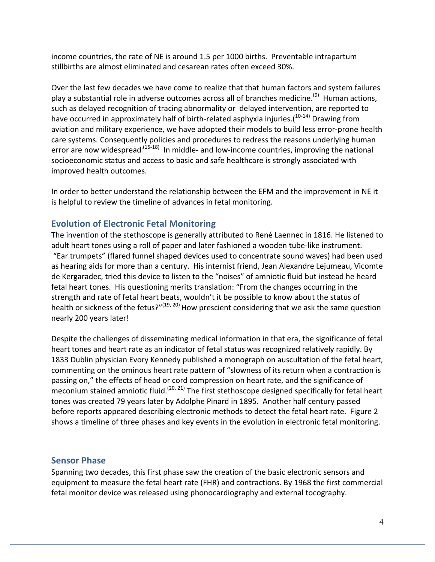income countries, the rate of NE is around 1.5 per 1000 births. Preventable intrapartum stillbirths are almost eliminated and cesarean rates often exceed 30%.

Over the last few decades we have come to realize that that human factors and system failures play a substantial role in adverse outcomes across all of branches medicine.<sup>(9)</sup> Human actions, such as delayed recognition of tracing abnormality or delayed intervention, are reported to have occurred in approximately half of birth-related asphyxia injuries.( $^{10-14)}$  Drawing from aviation and military experience, we have adopted their models to build less error-prone health care systems. Consequently policies and procedures to redress the reasons underlying human error are now widespread<sup>.(15-18)</sup> In middle- and low-income countries, improving the national socioeconomic status and access to basic and safe healthcare is strongly associated with improved health outcomes.

In order to better understand the relationship between the EFM and the improvement in NE it is helpful to review the timeline of advances in fetal monitoring.

#### **Evolution of Electronic Fetal Monitoring**

The invention of the stethoscope is generally attributed to René Laennec in 1816. He listened to adult heart tones using a roll of paper and later fashioned a wooden tube-like instrument. "Ear trumpets" (flared funnel shaped devices used to concentrate sound waves) had been used as hearing aids for more than a century. His internist friend, Jean Alexandre Lejumeau, Vicomte de Kergaradec, tried this device to listen to the "noises" of amniotic fluid but instead he heard fetal heart tones. His questioning merits translation: "From the changes occurring in the strength and rate of fetal heart beats, wouldn't it be possible to know about the status of health or sickness of the fetus?"<sup>(19, 20)</sup> How prescient considering that we ask the same question nearly 200 years later!

Despite the challenges of disseminating medical information in that era, the significance of fetal heart tones and heart rate as an indicator of fetal status was recognized relatively rapidly. By 1833 Dublin physician Evory Kennedy published a monograph on auscultation of the fetal heart, commenting on the ominous heart rate pattern of "slowness of its return when a contraction is passing on," the effects of head or cord compression on heart rate, and the significance of meconium stained amniotic fluid.<sup>(20, 21)</sup> The first stethoscope designed specifically for fetal heart tones was created 79 years later by Adolphe Pinard in 1895. Another half century passed before reports appeared describing electronic methods to detect the fetal heart rate. Figure 2 shows a timeline of three phases and key events in the evolution in electronic fetal monitoring.

#### **Sensor Phase**

Spanning two decades, this first phase saw the creation of the basic electronic sensors and equipment to measure the fetal heart rate (FHR) and contractions. By 1968 the first commercial fetal monitor device was released using phonocardiography and external tocography.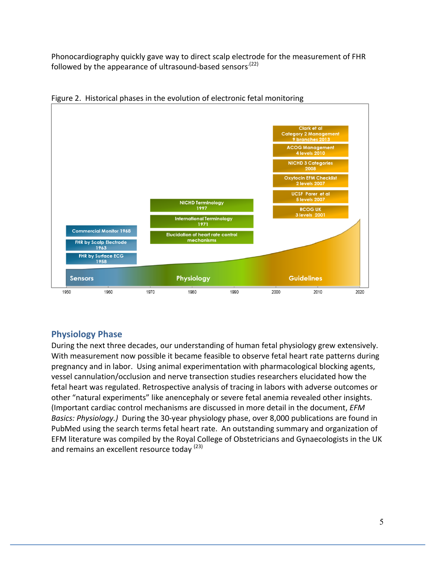Phonocardiography quickly gave way to direct scalp electrode for the measurement of FHR followed by the appearance of ultrasound-based sensors<sup>.(22)</sup>



Figure 2. Historical phases in the evolution of electronic fetal monitoring

#### **Physiology Phase**

During the next three decades, our understanding of human fetal physiology grew extensively. With measurement now possible it became feasible to observe fetal heart rate patterns during pregnancy and in labor. Using animal experimentation with pharmacological blocking agents, vessel cannulation/occlusion and nerve transection studies researchers elucidated how the fetal heart was regulated. Retrospective analysis of tracing in labors with adverse outcomes or other "natural experiments" like anencephaly or severe fetal anemia revealed other insights. (Important cardiac control mechanisms are discussed in more detail in the document, *EFM Basics: Physiology.)* During the 30-year physiology phase, over 8,000 publications are found in PubMed using the search terms fetal heart rate. An outstanding summary and organization of EFM literature was compiled by the Royal College of Obstetricians and Gynaecologists in the UK and remains an excellent resource today (23)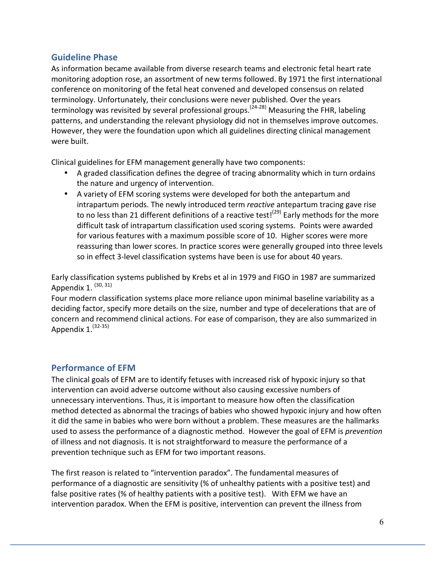#### **Guideline Phase**

As information became available from diverse research teams and electronic fetal heart rate monitoring adoption rose, an assortment of new terms followed. By 1971 the first international conference on monitoring of the fetal heat convened and developed consensus on related terminology. Unfortunately, their conclusions were never published. Over the years terminology was revisited by several professional groups.<sup>(24-28)</sup> Measuring the FHR, labeling patterns, and understanding the relevant physiology did not in themselves improve outcomes. However, they were the foundation upon which all guidelines directing clinical management were built.

Clinical guidelines for EFM management generally have two components:

- A graded classification defines the degree of tracing abnormality which in turn ordains the nature and urgency of intervention.
- A variety of EFM scoring systems were developed for both the antepartum and intrapartum periods. The newly introduced term *reactive* antepartum tracing gave rise to no less than 21 different definitions of a reactive test!<sup>(29)</sup> Early methods for the more difficult task of intrapartum classification used scoring systems. Points were awarded for various features with a maximum possible score of 10. Higher scores were more reassuring than lower scores. In practice scores were generally grouped into three levels so in effect 3-level classification systems have been is use for about 40 years.

Early classification systems published by Krebs et al in 1979 and FIGO in 1987 are summarized Appendix 1.  $(30, 31)$ 

Four modern classification systems place more reliance upon minimal baseline variability as a deciding factor, specify more details on the size, number and type of decelerations that are of concern and recommend clinical actions. For ease of comparison, they are also summarized in Appendix 1.<sup>(32-35)</sup>

## **Performance of EFM**

The clinical goals of EFM are to identify fetuses with increased risk of hypoxic injury so that intervention can avoid adverse outcome without also causing excessive numbers of unnecessary interventions. Thus, it is important to measure how often the classification method detected as abnormal the tracings of babies who showed hypoxic injury and how often it did the same in babies who were born without a problem. These measures are the hallmarks used to assess the performance of a diagnostic method. However the goal of EFM is *prevention* of illness and not diagnosis. It is not straightforward to measure the performance of a prevention technique such as EFM for two important reasons.

The first reason is related to "intervention paradox". The fundamental measures of performance of a diagnostic are sensitivity (% of unhealthy patients with a positive test) and false positive rates (% of healthy patients with a positive test). With EFM we have an intervention paradox. When the EFM is positive, intervention can prevent the illness from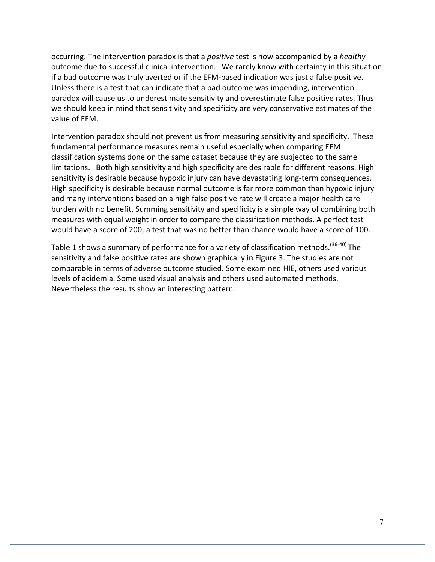occurring. The intervention paradox is that a *positive* test is now accompanied by a *healthy* outcome due to successful clinical intervention. We rarely know with certainty in this situation if a bad outcome was truly averted or if the EFM-based indication was just a false positive. Unless there is a test that can indicate that a bad outcome was impending, intervention paradox will cause us to underestimate sensitivity and overestimate false positive rates. Thus we should keep in mind that sensitivity and specificity are very conservative estimates of the value of FFM.

Intervention paradox should not prevent us from measuring sensitivity and specificity. These fundamental performance measures remain useful especially when comparing EFM classification systems done on the same dataset because they are subjected to the same limitations. Both high sensitivity and high specificity are desirable for different reasons. High sensitivity is desirable because hypoxic injury can have devastating long-term consequences. High specificity is desirable because normal outcome is far more common than hypoxic injury and many interventions based on a high false positive rate will create a major health care burden with no benefit. Summing sensitivity and specificity is a simple way of combining both measures with equal weight in order to compare the classification methods. A perfect test would have a score of 200; a test that was no better than chance would have a score of 100.

Table 1 shows a summary of performance for a variety of classification methods.<sup>(36-40)</sup> The sensitivity and false positive rates are shown graphically in Figure 3. The studies are not comparable in terms of adverse outcome studied. Some examined HIE, others used various levels of acidemia. Some used visual analysis and others used automated methods. Nevertheless the results show an interesting pattern.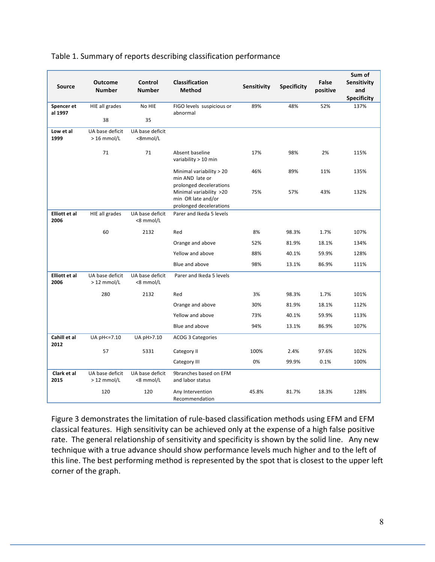|                              |                                  |                              |                                                                                                     |             |                    |                   | Sum of                                   |
|------------------------------|----------------------------------|------------------------------|-----------------------------------------------------------------------------------------------------|-------------|--------------------|-------------------|------------------------------------------|
| <b>Source</b>                | <b>Outcome</b><br><b>Number</b>  | Control<br><b>Number</b>     | Classification<br><b>Method</b>                                                                     | Sensitivity | <b>Specificity</b> | False<br>positive | Sensitivity<br>and<br><b>Specificity</b> |
| Spencer et                   | HIE all grades                   | No HIE                       | FIGO levels suspicious or                                                                           | 89%         | 48%                | 52%               | 137%                                     |
| al 1997                      | 38                               | 35                           | abnormal                                                                                            |             |                    |                   |                                          |
| Low et al<br>1999            | UA base deficit<br>$> 16$ mmol/L | UA base deficit<br><8mmol/L  |                                                                                                     |             |                    |                   |                                          |
|                              | 71                               | 71                           | Absent baseline<br>variability > 10 min                                                             | 17%         | 98%                | 2%                | 115%                                     |
|                              |                                  |                              | Minimal variability > 20<br>min AND late or                                                         | 46%         | 89%                | 11%               | 135%                                     |
|                              |                                  |                              | prolonged decelerations<br>Minimal variability >20<br>min OR late and/or<br>prolonged decelerations | 75%         | 57%                | 43%               | 132%                                     |
| <b>Elliott et al</b><br>2006 | HIE all grades                   | UA base deficit<br><8 mmol/L | Parer and Ikeda 5 levels                                                                            |             |                    |                   |                                          |
|                              | 60                               | 2132                         | Red                                                                                                 | 8%          | 98.3%              | 1.7%              | 107%                                     |
|                              |                                  |                              | Orange and above                                                                                    | 52%         | 81.9%              | 18.1%             | 134%                                     |
|                              |                                  |                              | Yellow and above                                                                                    | 88%         | 40.1%              | 59.9%             | 128%                                     |
|                              |                                  |                              | Blue and above                                                                                      | 98%         | 13.1%              | 86.9%             | 111%                                     |
| <b>Elliott et al</b><br>2006 | UA base deficit<br>$>12$ mmol/L  | UA base deficit<br><8 mmol/L | Parer and Ikeda 5 levels                                                                            |             |                    |                   |                                          |
|                              | 280                              | 2132                         | Red                                                                                                 | 3%          | 98.3%              | 1.7%              | 101%                                     |
|                              |                                  |                              | Orange and above                                                                                    | 30%         | 81.9%              | 18.1%             | 112%                                     |
|                              |                                  |                              | Yellow and above                                                                                    | 73%         | 40.1%              | 59.9%             | 113%                                     |
|                              |                                  |                              | Blue and above                                                                                      | 94%         | 13.1%              | 86.9%             | 107%                                     |
| Cahill et al<br>2012         | UA pH <= 7.10                    | UA pH>7.10                   | ACOG 3 Categories                                                                                   |             |                    |                   |                                          |
|                              | 57                               | 5331                         | Category II                                                                                         | 100%        | 2.4%               | 97.6%             | 102%                                     |
|                              |                                  |                              | Category III                                                                                        | 0%          | 99.9%              | 0.1%              | 100%                                     |
| Clark et al<br>2015          | UA base deficit<br>$>12$ mmol/L  | UA base deficit<br><8 mmol/L | 9branches based on EFM<br>and labor status                                                          |             |                    |                   |                                          |
|                              | 120                              | 120                          | Any Intervention<br>Recommendation                                                                  | 45.8%       | 81.7%              | 18.3%             | 128%                                     |

#### Table 1. Summary of reports describing classification performance

Figure 3 demonstrates the limitation of rule-based classification methods using EFM and EFM classical features. High sensitivity can be achieved only at the expense of a high false positive rate. The general relationship of sensitivity and specificity is shown by the solid line. Any new technique with a true advance should show performance levels much higher and to the left of this line. The best performing method is represented by the spot that is closest to the upper left corner of the graph.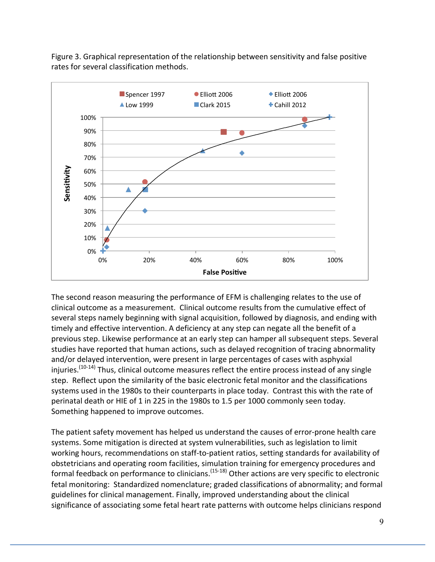

Figure 3. Graphical representation of the relationship between sensitivity and false positive rates for several classification methods.

The second reason measuring the performance of EFM is challenging relates to the use of clinical outcome as a measurement. Clinical outcome results from the cumulative effect of several steps namely beginning with signal acquisition, followed by diagnosis, and ending with timely and effective intervention. A deficiency at any step can negate all the benefit of a previous step. Likewise performance at an early step can hamper all subsequent steps. Several studies have reported that human actions, such as delayed recognition of tracing abnormality and/or delayed intervention, were present in large percentages of cases with asphyxial injuries.<sup>(10-14)</sup> Thus, clinical outcome measures reflect the entire process instead of any single step. Reflect upon the similarity of the basic electronic fetal monitor and the classifications systems used in the 1980s to their counterparts in place today. Contrast this with the rate of perinatal death or HIE of 1 in 225 in the 1980s to 1.5 per 1000 commonly seen today. Something happened to improve outcomes.

The patient safety movement has helped us understand the causes of error-prone health care systems. Some mitigation is directed at system vulnerabilities, such as legislation to limit working hours, recommendations on staff-to-patient ratios, setting standards for availability of obstetricians and operating room facilities, simulation training for emergency procedures and formal feedback on performance to clinicians.<sup>(15-18)</sup> Other actions are very specific to electronic fetal monitoring: Standardized nomenclature; graded classifications of abnormality; and formal guidelines for clinical management. Finally, improved understanding about the clinical significance of associating some fetal heart rate patterns with outcome helps clinicians respond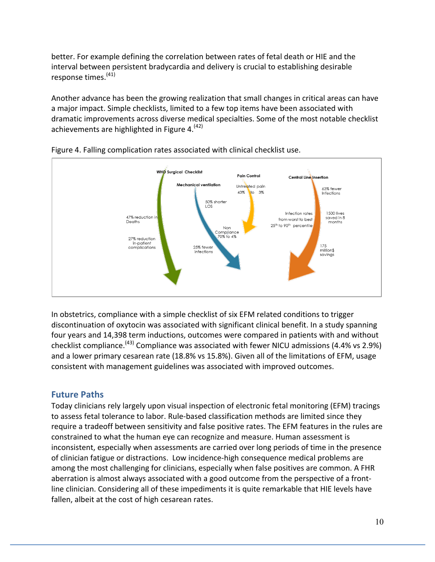better. For example defining the correlation between rates of fetal death or HIE and the interval between persistent bradycardia and delivery is crucial to establishing desirable response times.<sup>(41)</sup>

Another advance has been the growing realization that small changes in critical areas can have a major impact. Simple checklists, limited to a few top items have been associated with dramatic improvements across diverse medical specialties. Some of the most notable checklist achievements are highlighted in Figure 4.<sup>(42)</sup>





In obstetrics, compliance with a simple checklist of six EFM related conditions to trigger discontinuation of oxytocin was associated with significant clinical benefit. In a study spanning four years and 14,398 term inductions, outcomes were compared in patients with and without checklist compliance.<sup>(43)</sup> Compliance was associated with fewer NICU admissions (4.4% vs 2.9%) and a lower primary cesarean rate (18.8% vs 15.8%). Given all of the limitations of EFM, usage consistent with management guidelines was associated with improved outcomes.

#### **Future Paths**

Today clinicians rely largely upon visual inspection of electronic fetal monitoring (EFM) tracings to assess fetal tolerance to labor. Rule-based classification methods are limited since they require a tradeoff between sensitivity and false positive rates. The EFM features in the rules are constrained to what the human eye can recognize and measure. Human assessment is inconsistent, especially when assessments are carried over long periods of time in the presence of clinician fatigue or distractions. Low incidence-high consequence medical problems are among the most challenging for clinicians, especially when false positives are common. A FHR aberration is almost always associated with a good outcome from the perspective of a frontline clinician. Considering all of these impediments it is quite remarkable that HIE levels have fallen, albeit at the cost of high cesarean rates.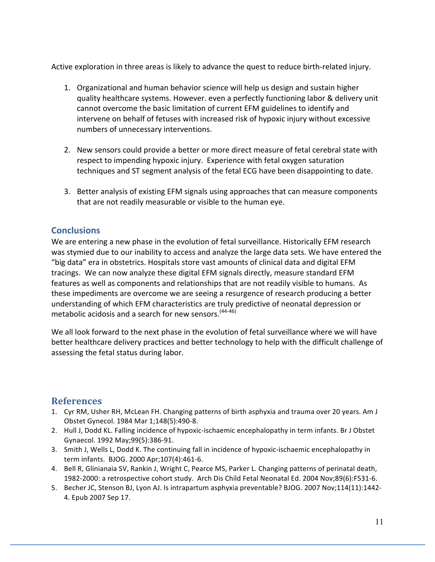Active exploration in three areas is likely to advance the quest to reduce birth-related injury.

- 1. Organizational and human behavior science will help us design and sustain higher quality healthcare systems. However. even a perfectly functioning labor & delivery unit cannot overcome the basic limitation of current EFM guidelines to identify and intervene on behalf of fetuses with increased risk of hypoxic injury without excessive numbers of unnecessary interventions.
- 2. New sensors could provide a better or more direct measure of fetal cerebral state with respect to impending hypoxic injury. Experience with fetal oxygen saturation techniques and ST segment analysis of the fetal ECG have been disappointing to date.
- 3. Better analysis of existing EFM signals using approaches that can measure components that are not readily measurable or visible to the human eye.

#### **Conclusions**

We are entering a new phase in the evolution of fetal surveillance. Historically EFM research was stymied due to our inability to access and analyze the large data sets. We have entered the "big data" era in obstetrics. Hospitals store vast amounts of clinical data and digital EFM tracings. We can now analyze these digital EFM signals directly, measure standard EFM features as well as components and relationships that are not readily visible to humans. As these impediments are overcome we are seeing a resurgence of research producing a better understanding of which EFM characteristics are truly predictive of neonatal depression or metabolic acidosis and a search for new sensors.  $(44-46)$ 

We all look forward to the next phase in the evolution of fetal surveillance where we will have better healthcare delivery practices and better technology to help with the difficult challenge of assessing the fetal status during labor.

## **References**

- 1. Cyr RM, Usher RH, McLean FH. Changing patterns of birth asphyxia and trauma over 20 years. Am J Obstet Gynecol. 1984 Mar 1;148(5):490-8.
- 2. Hull J, Dodd KL. Falling incidence of hypoxic-ischaemic encephalopathy in term infants. Br J Obstet Gynaecol. 1992 May;99(5):386-91.
- 3. Smith J, Wells L, Dodd K. The continuing fall in incidence of hypoxic-ischaemic encephalopathy in term infants. BJOG. 2000 Apr;107(4):461-6.
- 4. Bell R, Glinianaia SV, Rankin J, Wright C, Pearce MS, Parker L. Changing patterns of perinatal death, 1982-2000: a retrospective cohort study. Arch Dis Child Fetal Neonatal Ed. 2004 Nov;89(6):F531-6.
- 5. Becher JC, Stenson BJ, Lyon AJ. Is intrapartum asphyxia preventable? BJOG. 2007 Nov;114(11):1442-4. Epub 2007 Sep 17.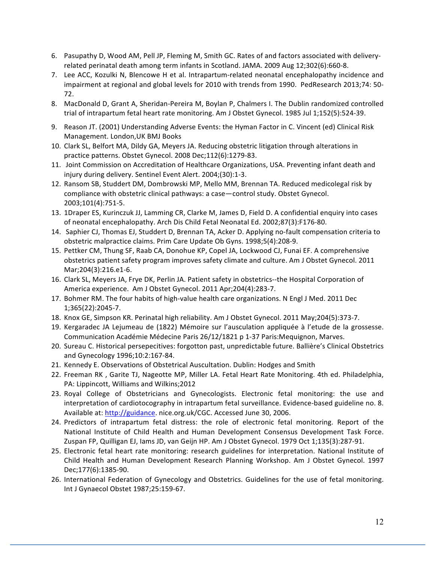- 6. Pasupathy D, Wood AM, Pell JP, Fleming M, Smith GC. Rates of and factors associated with deliveryrelated perinatal death among term infants in Scotland. JAMA. 2009 Aug 12;302(6):660-8.
- 7. Lee ACC, Kozulki N, Blencowe H et al. Intrapartum-related neonatal encephalopathy incidence and impairment at regional and global levels for 2010 with trends from 1990. PedResearch 2013;74: 50-72.
- 8. MacDonald D, Grant A, Sheridan-Pereira M, Boylan P, Chalmers I. The Dublin randomized controlled trial of intrapartum fetal heart rate monitoring. Am J Obstet Gynecol. 1985 Jul 1;152(5):524-39.
- 9. Reason JT. (2001) Understanding Adverse Events: the Hyman Factor in C. Vincent (ed) Clinical Risk Management. London, UK BMJ Books
- 10. Clark SL, Belfort MA, Dildy GA, Meyers JA. Reducing obstetric litigation through alterations in practice patterns. Obstet Gynecol. 2008 Dec;112(6):1279-83.
- 11. Joint Commission on Accreditation of Healthcare Organizations, USA. Preventing infant death and injury during delivery. Sentinel Event Alert. 2004;(30):1-3.
- 12. Ransom SB, Studdert DM, Dombrowski MP, Mello MM, Brennan TA. Reduced medicolegal risk by compliance with obstetric clinical pathways: a case—control study. Obstet Gynecol. 2003;101(4):751-5.
- 13. 1Draper ES, Kurinczuk JJ, Lamming CR, Clarke M, James D, Field D. A confidential enquiry into cases of neonatal encephalopathy. Arch Dis Child Fetal Neonatal Ed. 2002;87(3):F176-80.
- 14. Saphier CJ, Thomas EJ, Studdert D, Brennan TA, Acker D. Applying no-fault compensation criteria to obstetric malpractice claims. Prim Care Update Ob Gyns. 1998;5(4):208-9.
- 15. Pettker CM, Thung SF, Raab CA, Donohue KP, Copel JA, Lockwood CJ, Funai EF. A comprehensive obstetrics patient safety program improves safety climate and culture. Am J Obstet Gynecol. 2011 Mar;204(3):216.e1-6.
- 16. Clark SL, Meyers JA, Frye DK, Perlin JA. Patient safety in obstetrics--the Hospital Corporation of America experience. Am J Obstet Gynecol. 2011 Apr;204(4):283-7.
- 17. Bohmer RM. The four habits of high-value health care organizations. N Engl J Med. 2011 Dec 1;365(22):2045-7.
- 18. Knox GE, Simpson KR. Perinatal high reliability. Am J Obstet Gynecol. 2011 May;204(5):373-7.
- 19. Kergaradec JA Lejumeau de (1822) Mémoire sur l'ausculation appliquée à l'etude de la grossesse. Communication Académie Médecine Paris 26/12/1821 p 1-37 Paris:Mequignon, Marves.
- 20. Sureau C. Historical persepecitives: forgotton past, unpredictable future. Ballière's Clinical Obstetrics and Gynecology 1996;10:2:167-84.
- 21. Kennedy E. Observations of Obstetrical Auscultation. Dublin: Hodges and Smith
- 22. Freeman RK, Garite TJ, Nageotte MP, Miller LA. Fetal Heart Rate Monitoring. 4th ed. Philadelphia, PA: Lippincott, Williams and Wilkins;2012
- 23. Royal College of Obstetricians and Gynecologists. Electronic fetal monitoring: the use and interpretation of cardiotocography in intrapartum fetal surveillance. Evidence-based guideline no. 8. Available at: http://guidance. nice.org.uk/CGC. Accessed June 30, 2006.
- 24. Predictors of intrapartum fetal distress: the role of electronic fetal monitoring. Report of the National Institute of Child Health and Human Development Consensus Development Task Force. Zuspan FP, Quilligan EJ, Iams JD, van Geijn HP. Am J Obstet Gynecol. 1979 Oct 1;135(3):287-91.
- 25. Electronic fetal heart rate monitoring: research guidelines for interpretation. National Institute of Child Health and Human Development Research Planning Workshop. Am J Obstet Gynecol. 1997 Dec;177(6):1385-90.
- 26. International Federation of Gynecology and Obstetrics. Guidelines for the use of fetal monitoring. Int J Gynaecol Obstet 1987;25:159-67.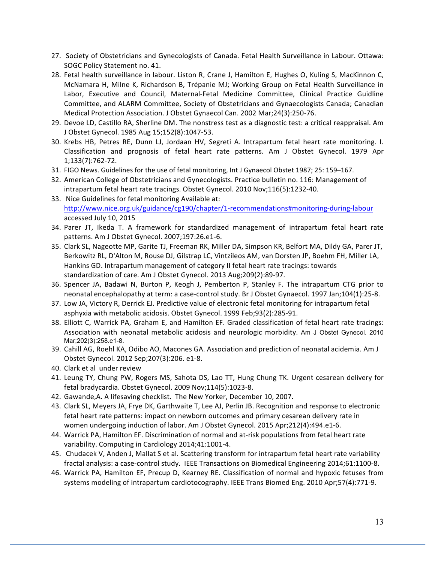- 27. Society of Obstetricians and Gynecologists of Canada. Fetal Health Surveillance in Labour. Ottawa: SOGC Policy Statement no. 41.
- 28. Fetal health surveillance in labour. Liston R, Crane J, Hamilton E, Hughes O, Kuling S, MacKinnon C, McNamara H, Milne K, Richardson B, Trépanie MJ; Working Group on Fetal Health Surveillance in Labor, Executive and Council, Maternal-Fetal Medicine Committee, Clinical Practice Guidline Committee, and ALARM Committee, Society of Obstetricians and Gynaecologists Canada; Canadian Medical Protection Association. J Obstet Gynaecol Can. 2002 Mar;24(3):250-76.
- 29. Devoe LD, Castillo RA, Sherline DM. The nonstress test as a diagnostic test: a critical reappraisal. Am J Obstet Gynecol. 1985 Aug 15;152(8):1047-53.
- 30. Krebs HB, Petres RE, Dunn LJ, Jordaan HV, Segreti A. Intrapartum fetal heart rate monitoring. I. Classification and prognosis of fetal heart rate patterns. Am J Obstet Gynecol. 1979 Apr 1;133(7):762-72.
- 31. FIGO News. Guidelines for the use of fetal monitoring, Int J Gynaecol Obstet 1987; 25: 159–167.
- 32. American College of Obstetricians and Gynecologists. Practice bulletin no. 116: Management of intrapartum fetal heart rate tracings. Obstet Gynecol. 2010 Nov;116(5):1232-40.
- 33. Nice Guidelines for fetal monitoring Available at: http://www.nice.org.uk/guidance/cg190/chapter/1-recommendations#monitoring-during-labour accessed July 10, 2015
- 34. Parer JT, Ikeda T. A framework for standardized management of intrapartum fetal heart rate patterns. Am J Obstet Gynecol. 2007;197:26.e1-6.
- 35. Clark SL, Nageotte MP, Garite TJ, Freeman RK, Miller DA, Simpson KR, Belfort MA, Dildy GA, Parer JT, Berkowitz RL, D'Alton M, Rouse DJ, Gilstrap LC, Vintzileos AM, van Dorsten JP, Boehm FH, Miller LA, Hankins GD. Intrapartum management of category II fetal heart rate tracings: towards standardization of care. Am J Obstet Gynecol. 2013 Aug;209(2):89-97.
- 36. Spencer JA, Badawi N, Burton P, Keogh J, Pemberton P, Stanley F. The intrapartum CTG prior to neonatal encephalopathy at term: a case-control study. Br J Obstet Gynaecol. 1997 Jan;104(1):25-8.
- 37. Low JA, Victory R, Derrick EJ. Predictive value of electronic fetal monitoring for intrapartum fetal asphyxia with metabolic acidosis. Obstet Gynecol. 1999 Feb;93(2):285-91.
- 38. Elliott C, Warrick PA, Graham E, and Hamilton EF. Graded classification of fetal heart rate tracings: Association with neonatal metabolic acidosis and neurologic morbidity. Am J Obstet Gynecol. 2010 Mar;202(3):258.e1-8.
- 39. Cahill AG, Roehl KA, Odibo AO, Macones GA. Association and prediction of neonatal acidemia. Am J Obstet Gynecol. 2012 Sep;207(3):206. e1-8.
- 40. Clark et al under review
- 41. Leung TY, Chung PW, Rogers MS, Sahota DS, Lao TT, Hung Chung TK. Urgent cesarean delivery for fetal bradycardia. Obstet Gynecol. 2009 Nov;114(5):1023-8.
- 42. Gawande, A. A lifesaving checklist. The New Yorker, December 10, 2007.
- 43. Clark SL, Meyers JA, Frye DK, Garthwaite T, Lee AJ, Perlin JB. Recognition and response to electronic fetal heart rate patterns: impact on newborn outcomes and primary cesarean delivery rate in women undergoing induction of labor. Am J Obstet Gynecol. 2015 Apr;212(4):494.e1-6.
- 44. Warrick PA, Hamilton EF. Discrimination of normal and at-risk populations from fetal heart rate variability. Computing in Cardiology 2014;41:1001-4.
- 45. Chudacek V, Anden J, Mallat S et al. Scattering transform for intrapartum fetal heart rate variability fractal analysis: a case-control study. IEEE Transactions on Biomedical Engineering 2014;61:1100-8.
- 46. Warrick PA, Hamilton EF, Precup D, Kearney RE. Classification of normal and hypoxic fetuses from systems modeling of intrapartum cardiotocography. IEEE Trans Biomed Eng. 2010 Apr;57(4):771-9.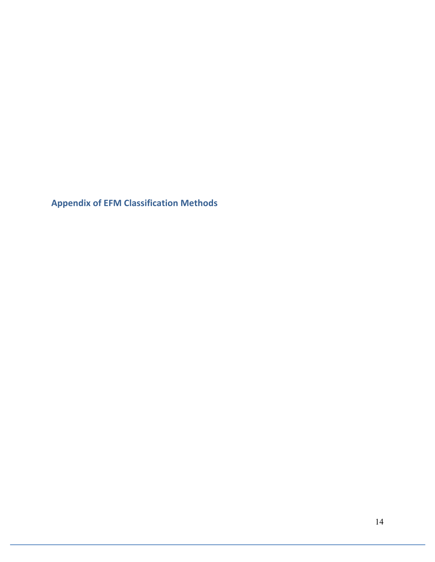**Appendix of EFM Classification Methods**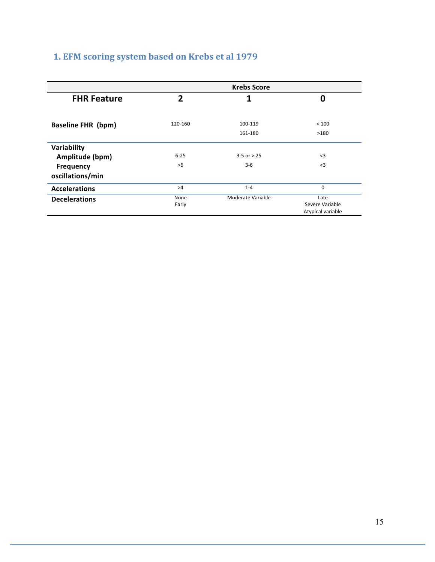# **1. EFM scoring system based on Krebs et al 1979**

|                           |              | <b>Krebs Score</b> |                                      |
|---------------------------|--------------|--------------------|--------------------------------------|
| <b>FHR Feature</b>        | $\mathbf{z}$ |                    | 0                                    |
| <b>Baseline FHR (bpm)</b> | 120-160      | 100-119            | < 100                                |
|                           |              | 161-180            | >180                                 |
| Variability               |              |                    |                                      |
| Amplitude (bpm)           | $6 - 25$     | $3 - 5$ or $> 25$  | $<$ 3                                |
| <b>Frequency</b>          | >6           | $3 - 6$            | $\leq$ 3                             |
| oscillations/min          |              |                    |                                      |
| <b>Accelerations</b>      | >4           | $1 - 4$            | $\mathbf 0$                          |
| <b>Decelerations</b>      | None         | Moderate Variable  | Late                                 |
|                           | Early        |                    | Severe Variable<br>Atypical variable |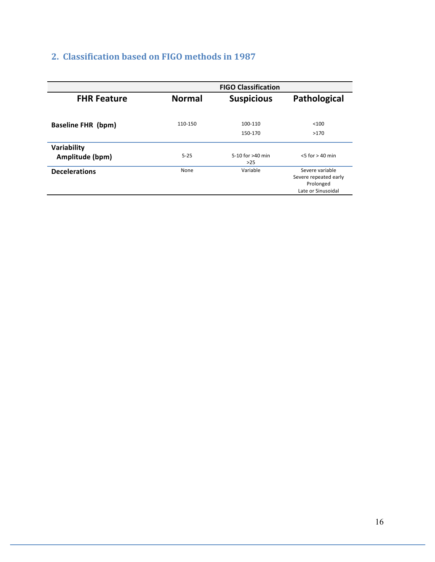## **2. Classification based on FIGO methods in 1987**

|                           | <b>FIGO Classification</b> |                           |                                                       |  |  |  |
|---------------------------|----------------------------|---------------------------|-------------------------------------------------------|--|--|--|
| <b>FHR Feature</b>        | <b>Normal</b>              | <b>Suspicious</b>         | Pathological                                          |  |  |  |
|                           |                            |                           |                                                       |  |  |  |
| <b>Baseline FHR (bpm)</b> | 110-150                    | 100-110                   | < 100                                                 |  |  |  |
|                           |                            | 150-170                   | >170                                                  |  |  |  |
| Variability               |                            |                           |                                                       |  |  |  |
| Amplitude (bpm)           | $5 - 25$                   | 5-10 for >40 min<br>$>25$ | $< 5$ for $> 40$ min                                  |  |  |  |
| <b>Decelerations</b>      | None                       | Variable                  | Severe variable<br>Severe repeated early<br>Prolonged |  |  |  |
|                           |                            |                           | Late or Sinusoidal                                    |  |  |  |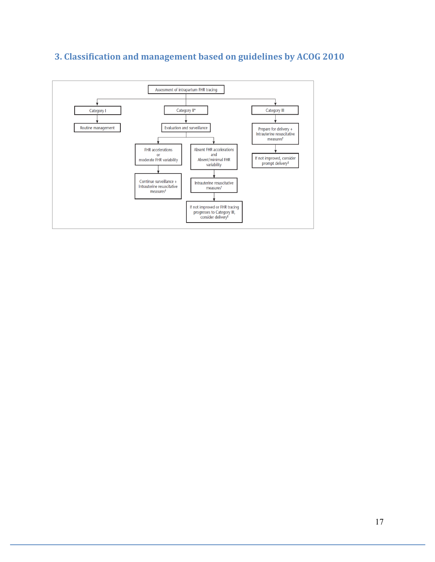

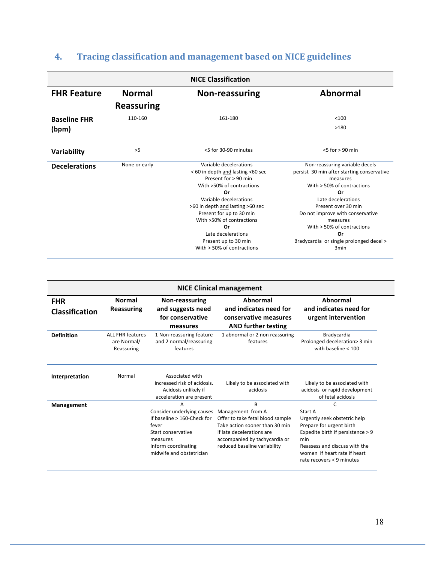# **4. Tracing classification and management based on NICE guidelines**

| <b>NICE Classification</b> |                   |                                                                                                                                                                                                                                                                                                                                   |                                                                                                                                                                                                                                                                                                                                    |  |  |  |  |
|----------------------------|-------------------|-----------------------------------------------------------------------------------------------------------------------------------------------------------------------------------------------------------------------------------------------------------------------------------------------------------------------------------|------------------------------------------------------------------------------------------------------------------------------------------------------------------------------------------------------------------------------------------------------------------------------------------------------------------------------------|--|--|--|--|
| <b>FHR Feature</b>         | <b>Normal</b>     | <b>Non-reassuring</b>                                                                                                                                                                                                                                                                                                             | <b>Abnormal</b>                                                                                                                                                                                                                                                                                                                    |  |  |  |  |
|                            | <b>Reassuring</b> |                                                                                                                                                                                                                                                                                                                                   |                                                                                                                                                                                                                                                                                                                                    |  |  |  |  |
| <b>Baseline FHR</b>        | 110-160           | 161-180                                                                                                                                                                                                                                                                                                                           | < 100                                                                                                                                                                                                                                                                                                                              |  |  |  |  |
| (bpm)                      |                   |                                                                                                                                                                                                                                                                                                                                   | >180                                                                                                                                                                                                                                                                                                                               |  |  |  |  |
| <b>Variability</b>         | >5                | <5 for 30-90 minutes                                                                                                                                                                                                                                                                                                              | $5$ for $> 90$ min                                                                                                                                                                                                                                                                                                                 |  |  |  |  |
| <b>Decelerations</b>       | None or early     | Variable decelerations<br>< 60 in depth and lasting <60 sec<br>Present for > 90 min<br>With >50% of contractions<br>Or<br>Variable decelerations<br>>60 in depth and lasting >60 sec<br>Present for up to 30 min<br>With >50% of contractions<br>Or<br>Late decelerations<br>Present up to 30 min<br>With $>$ 50% of contractions | Non-reassuring variable decels<br>persist 30 min after starting conservative<br>measures<br>With $> 50\%$ of contractions<br>Or<br>Late decelerations<br>Present over 30 min<br>Do not improve with conservative<br>measures<br>With $> 50\%$ of contractions<br>Or<br>Bradycardia or single prolonged decel ><br>3 <sub>min</sub> |  |  |  |  |

| <b>NICE Clinical management</b>     |                                                      |                                                                                                                                                                 |                                                                                                                                                                                            |                                                                                                                                                                                                                      |  |  |  |  |
|-------------------------------------|------------------------------------------------------|-----------------------------------------------------------------------------------------------------------------------------------------------------------------|--------------------------------------------------------------------------------------------------------------------------------------------------------------------------------------------|----------------------------------------------------------------------------------------------------------------------------------------------------------------------------------------------------------------------|--|--|--|--|
| <b>FHR</b><br><b>Classification</b> | <b>Normal</b><br>Reassuring                          | Non-reassuring<br>and suggests need<br>for conservative<br>measures                                                                                             | Abnormal<br>and indicates need for<br>conservative measures<br><b>AND further testing</b>                                                                                                  | Abnormal<br>and indicates need for<br>urgent intervention                                                                                                                                                            |  |  |  |  |
| <b>Definition</b>                   | <b>ALL FHR features</b><br>are Normal/<br>Reassuring | 1 Non-reassuring feature<br>and 2 normal/reassuring<br>features                                                                                                 | 1 abnormal or 2 non reassuring<br>features                                                                                                                                                 | Bradycardia<br>Prolonged deceleration> 3 min<br>with baseline $< 100$                                                                                                                                                |  |  |  |  |
| Interpretation                      | Normal                                               | Associated with<br>increased risk of acidosis.<br>Acidosis unlikely if<br>acceleration are present                                                              | Likely to be associated with<br>acidosis                                                                                                                                                   | Likely to be associated with<br>acidosis or rapid development<br>of fetal acidosis                                                                                                                                   |  |  |  |  |
| Management                          |                                                      | A<br>Consider underlying causes<br>If baseline $> 160$ -Check for<br>fever<br>Start conservative<br>measures<br>Inform coordinating<br>midwife and obstetrician | B<br>Management from A<br>Offer to take fetal blood sample<br>Take action sooner than 30 min<br>if late decelerations are<br>accompanied by tachycardia or<br>reduced baseline variability | C<br>Start A<br>Urgently seek obstetric help<br>Prepare for urgent birth<br>Expedite birth if persistence > 9<br>min<br>Reassess and discuss with the<br>women if heart rate if heart<br>rate recovers $< 9$ minutes |  |  |  |  |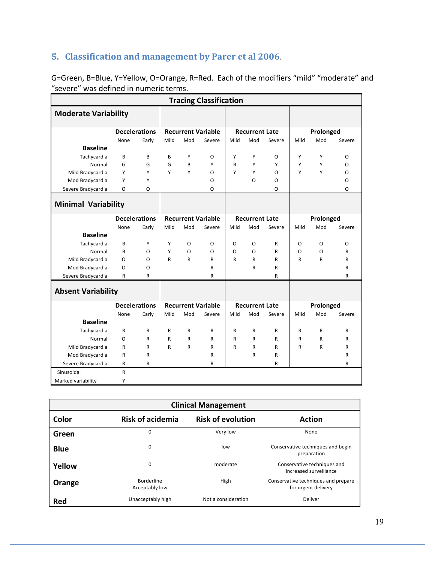## **5. Classification and management by Parer et al 2006**.

| <b>Tracing Classification</b> |      |                      |      |              |                           |          |                       |        |      |           |              |
|-------------------------------|------|----------------------|------|--------------|---------------------------|----------|-----------------------|--------|------|-----------|--------------|
| <b>Moderate Variability</b>   |      |                      |      |              |                           |          |                       |        |      |           |              |
|                               |      | <b>Decelerations</b> |      |              | <b>Recurrent Variable</b> |          | <b>Recurrent Late</b> |        |      | Prolonged |              |
|                               | None | Early                | Mild | Mod          | Severe                    | Mild     | Mod                   | Severe | Mild | Mod       | Severe       |
| <b>Baseline</b>               |      |                      |      |              |                           |          |                       |        |      |           |              |
| Tachycardia                   | B    | B                    | B    | Υ            | O                         | Υ        | Y                     | O      | Υ    | Υ         | 0            |
| Normal                        | G    | G                    | G    | B            | Υ                         | B        | Y                     | Υ      | Υ    | Υ         | $\Omega$     |
| Mild Bradycardia              | Υ    | Y                    | Y    | Y            | O                         | Υ        | Y                     | O      | Υ    | Υ         | $\Omega$     |
| Mod Bradycardia               | Y    | Y                    |      |              | O                         |          | O                     | O      |      |           | $\Omega$     |
| Severe Bradycardia            | O    | O                    |      |              | O                         |          |                       | O      |      |           | O            |
| <b>Minimal Variability</b>    |      |                      |      |              |                           |          |                       |        |      |           |              |
|                               |      | <b>Decelerations</b> |      |              | <b>Recurrent Variable</b> |          | <b>Recurrent Late</b> |        |      | Prolonged |              |
|                               | None | Early                | Mild | Mod          | Severe                    | Mild     | Mod                   | Severe | Mild | Mod       | Severe       |
| <b>Baseline</b>               |      |                      |      |              |                           |          |                       |        |      |           |              |
| Tachycardia                   | B    | Y                    | Y    | O            | O                         | O        | O                     | R      | O    | O         | O            |
| Normal                        | B    | O                    | Y    | $\Omega$     | O                         | $\Omega$ | O                     | R      | O    | O         | $\mathsf{R}$ |
| Mild Bradycardia              | O    | O                    | R    | R            | R                         | R        | R                     | R      | R    | R         | R            |
| Mod Bradycardia               | O    | O                    |      |              | R                         |          | $\mathsf{R}$          | R      |      |           | R            |
| Severe Bradycardia            | R    | $\mathsf{R}$         |      |              | R                         |          |                       | R      |      |           | R            |
| <b>Absent Variability</b>     |      |                      |      |              |                           |          |                       |        |      |           |              |
|                               |      | <b>Decelerations</b> |      |              | <b>Recurrent Variable</b> |          | <b>Recurrent Late</b> |        |      | Prolonged |              |
|                               | None | Early                | Mild | Mod          | Severe                    | Mild     | Mod                   | Severe | Mild | Mod       | Severe       |
| <b>Baseline</b>               |      |                      |      |              |                           |          |                       |        |      |           |              |
| Tachycardia                   | R    | R                    | R    | $\mathsf{R}$ | R                         | R        | R                     | R      | R    | R         | R            |
| Normal                        | O    | R                    | R    | R            | R                         | R        | R                     | R      | R    | R         | R            |
| Mild Bradycardia              | R    | R                    | R    | $\mathsf{R}$ | R                         | R        | R                     | R      | R    | R         | R            |
| Mod Bradycardia               | R    | R                    |      |              | R                         |          | R                     | R      |      |           | R            |
| Severe Bradycardia            | R    | R                    |      |              | R                         |          |                       | R      |      |           | R            |
| Sinusoidal                    | R    |                      |      |              |                           |          |                       |        |      |           |              |
| Marked variability            | Υ    |                      |      |              |                           |          |                       |        |      |           |              |

G=Green, B=Blue, Y=Yellow, O=Orange, R=Red. Each of the modifiers "mild" "moderate" and "severe" was defined in numeric terms.

| <b>Clinical Management</b> |                                     |                          |                                                            |  |  |  |  |  |
|----------------------------|-------------------------------------|--------------------------|------------------------------------------------------------|--|--|--|--|--|
| Color                      | <b>Risk of acidemia</b>             | <b>Risk of evolution</b> | <b>Action</b>                                              |  |  |  |  |  |
| Green                      | 0                                   | Very low                 | None                                                       |  |  |  |  |  |
| <b>Blue</b>                | 0                                   | low                      | Conservative techniques and begin<br>preparation           |  |  |  |  |  |
| Yellow                     | 0                                   | moderate                 | Conservative techniques and<br>increased surveillance      |  |  |  |  |  |
| Orange                     | <b>Borderline</b><br>Acceptably low | High                     | Conservative techniques and prepare<br>for urgent delivery |  |  |  |  |  |
| Red                        | Unacceptably high                   | Not a consideration      | Deliver                                                    |  |  |  |  |  |